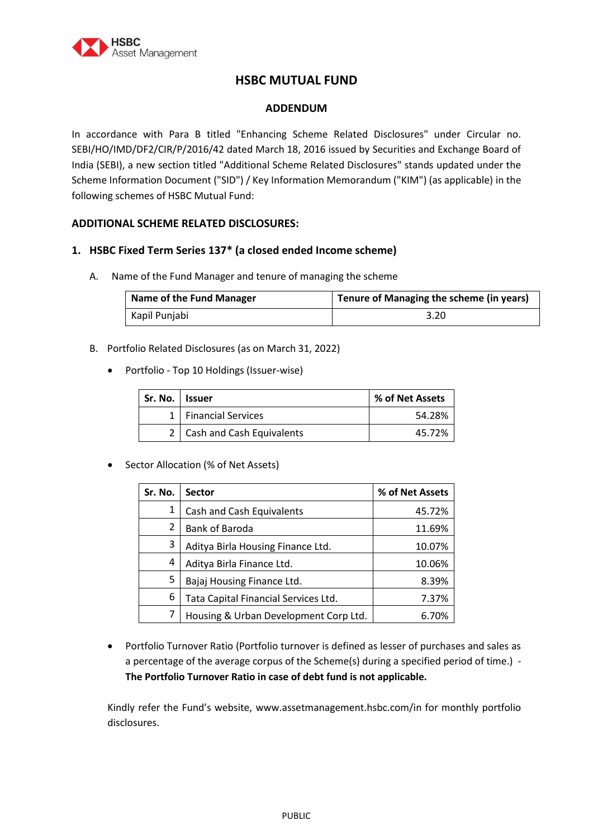

# **HSBC MUTUAL FUND**

#### **ADDENDUM**

In accordance with Para B titled "Enhancing Scheme Related Disclosures" under Circular no. SEBI/HO/IMD/DF2/CIR/P/2016/42 dated March 18, 2016 issued by Securities and Exchange Board of India (SEBI), a new section titled "Additional Scheme Related Disclosures" stands updated under the Scheme Information Document ("SID") / Key Information Memorandum ("KIM") (as applicable) in the following schemes of HSBC Mutual Fund:

## **ADDITIONAL SCHEME RELATED DISCLOSURES:**

#### **1. HSBC Fixed Term Series 137\* (a closed ended Income scheme)**

A. Name of the Fund Manager and tenure of managing the scheme

| Name of the Fund Manager | Tenure of Managing the scheme (in years) |
|--------------------------|------------------------------------------|
| Kapil Punjabi            | 3.20                                     |

- B. Portfolio Related Disclosures (as on March 31, 2022)
	- Portfolio Top 10 Holdings (Issuer-wise)

| Sr. No. l | <b>Issuer</b>                 | % of Net Assets |
|-----------|-------------------------------|-----------------|
|           | 1   Financial Services        | 54.28%          |
|           | 2   Cash and Cash Equivalents | 45.72%          |

• Sector Allocation (% of Net Assets)

| Sr. No. | <b>Sector</b>                         | % of Net Assets |
|---------|---------------------------------------|-----------------|
| 1       | Cash and Cash Equivalents             | 45.72%          |
| 2       | Bank of Baroda                        | 11.69%          |
| 3       | Aditya Birla Housing Finance Ltd.     | 10.07%          |
| 4       | Aditya Birla Finance Ltd.             | 10.06%          |
| 5       | Bajaj Housing Finance Ltd.            | 8.39%           |
| 6       | Tata Capital Financial Services Ltd.  | 7.37%           |
|         | Housing & Urban Development Corp Ltd. | 6.70%           |

 Portfolio Turnover Ratio (Portfolio turnover is defined as lesser of purchases and sales as a percentage of the average corpus of the Scheme(s) during a specified period of time.) - **The Portfolio Turnover Ratio in case of debt fund is not applicable.**

Kindly refer the Fund's website, www.assetmanagement.hsbc.com/in for monthly portfolio disclosures.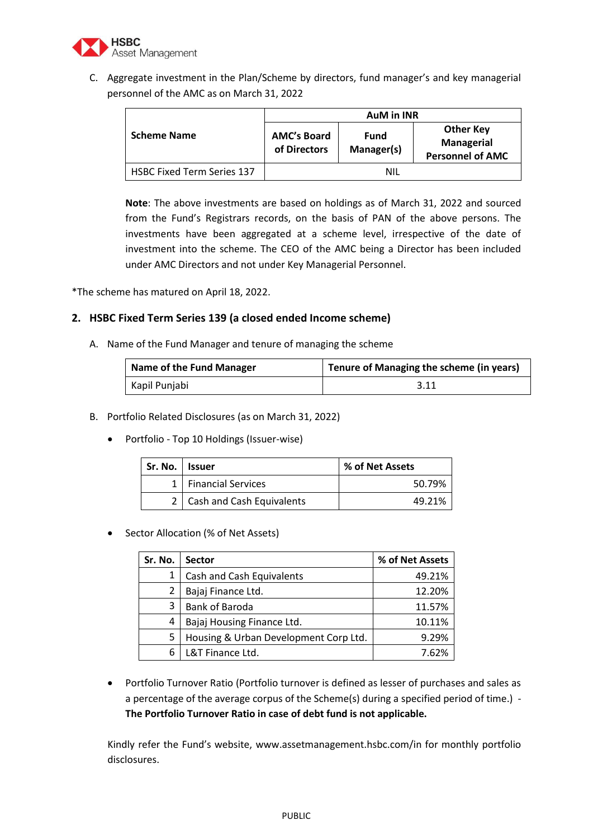

C. Aggregate investment in the Plan/Scheme by directors, fund manager's and key managerial personnel of the AMC as on March 31, 2022

|                                   | <b>AuM in INR</b>                  |                           |                                                                  |
|-----------------------------------|------------------------------------|---------------------------|------------------------------------------------------------------|
| <b>Scheme Name</b>                | <b>AMC's Board</b><br>of Directors | <b>Fund</b><br>Manager(s) | <b>Other Key</b><br><b>Managerial</b><br><b>Personnel of AMC</b> |
| <b>HSBC Fixed Term Series 137</b> |                                    | NIL                       |                                                                  |

**Note**: The above investments are based on holdings as of March 31, 2022 and sourced from the Fund's Registrars records, on the basis of PAN of the above persons. The investments have been aggregated at a scheme level, irrespective of the date of investment into the scheme. The CEO of the AMC being a Director has been included under AMC Directors and not under Key Managerial Personnel.

\*The scheme has matured on April 18, 2022.

### **2. HSBC Fixed Term Series 139 (a closed ended Income scheme)**

A. Name of the Fund Manager and tenure of managing the scheme

| Name of the Fund Manager | Tenure of Managing the scheme (in years) |
|--------------------------|------------------------------------------|
| Kapil Punjabi            | 3.11                                     |

- B. Portfolio Related Disclosures (as on March 31, 2022)
	- Portfolio Top 10 Holdings (Issuer-wise)

| Sr. No. l | <b>Issuer</b>             | % of Net Assets |
|-----------|---------------------------|-----------------|
|           | <b>Financial Services</b> | 50.79%          |
|           | Cash and Cash Equivalents | 49.21%          |

#### • Sector Allocation (% of Net Assets)

| Sr. No. | <b>Sector</b>                         | % of Net Assets |
|---------|---------------------------------------|-----------------|
|         | Cash and Cash Equivalents             | 49.21%          |
|         | Bajaj Finance Ltd.                    | 12.20%          |
| 3       | Bank of Baroda                        | 11.57%          |
| 4       | Bajaj Housing Finance Ltd.            | 10.11%          |
| 5       | Housing & Urban Development Corp Ltd. | 9.29%           |
| 6       | L&T Finance Ltd.                      | 7.62%           |

 Portfolio Turnover Ratio (Portfolio turnover is defined as lesser of purchases and sales as a percentage of the average corpus of the Scheme(s) during a specified period of time.) - **The Portfolio Turnover Ratio in case of debt fund is not applicable.**

Kindly refer the Fund's website, www.assetmanagement.hsbc.com/in for monthly portfolio disclosures.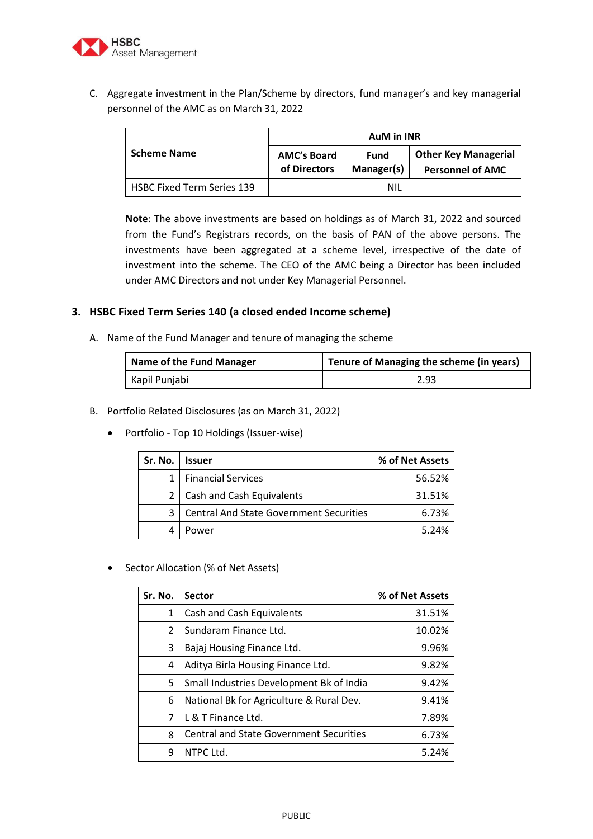

C. Aggregate investment in the Plan/Scheme by directors, fund manager's and key managerial personnel of the AMC as on March 31, 2022

|                                   | <b>AuM in INR</b>                  |                           |                                                        |
|-----------------------------------|------------------------------------|---------------------------|--------------------------------------------------------|
| <b>Scheme Name</b>                | <b>AMC's Board</b><br>of Directors | <b>Fund</b><br>Manager(s) | <b>Other Key Managerial</b><br><b>Personnel of AMC</b> |
| <b>HSBC Fixed Term Series 139</b> | NII                                |                           |                                                        |

**Note**: The above investments are based on holdings as of March 31, 2022 and sourced from the Fund's Registrars records, on the basis of PAN of the above persons. The investments have been aggregated at a scheme level, irrespective of the date of investment into the scheme. The CEO of the AMC being a Director has been included under AMC Directors and not under Key Managerial Personnel.

### **3. HSBC Fixed Term Series 140 (a closed ended Income scheme)**

A. Name of the Fund Manager and tenure of managing the scheme

| Name of the Fund Manager | Tenure of Managing the scheme (in years) |  |
|--------------------------|------------------------------------------|--|
| Kapil Punjabi            | 2.93                                     |  |

#### B. Portfolio Related Disclosures (as on March 31, 2022)

Portfolio - Top 10 Holdings (Issuer-wise)

| Sr. No.        | <b>Issuer</b>                                  | % of Net Assets |
|----------------|------------------------------------------------|-----------------|
|                | <b>Financial Services</b>                      | 56.52%          |
| 2 <sup>1</sup> | Cash and Cash Equivalents                      | 31.51%          |
| 3              | <b>Central And State Government Securities</b> | 6.73%           |
|                | Power                                          | 5.24%           |

• Sector Allocation (% of Net Assets)

| Sr. No. | <b>Sector</b>                                  | % of Net Assets |
|---------|------------------------------------------------|-----------------|
| 1       | Cash and Cash Equivalents                      | 31.51%          |
| 2       | Sundaram Finance Ltd.                          | 10.02%          |
| 3       | Bajaj Housing Finance Ltd.                     | 9.96%           |
| 4       | Aditya Birla Housing Finance Ltd.              | 9.82%           |
| 5       | Small Industries Development Bk of India       | 9.42%           |
| 6       | National Bk for Agriculture & Rural Dev.       | 9.41%           |
| 7       | L & T Finance Ltd.                             | 7.89%           |
| 8       | <b>Central and State Government Securities</b> | 6.73%           |
| 9       | NTPC Ltd.                                      | 5.24%           |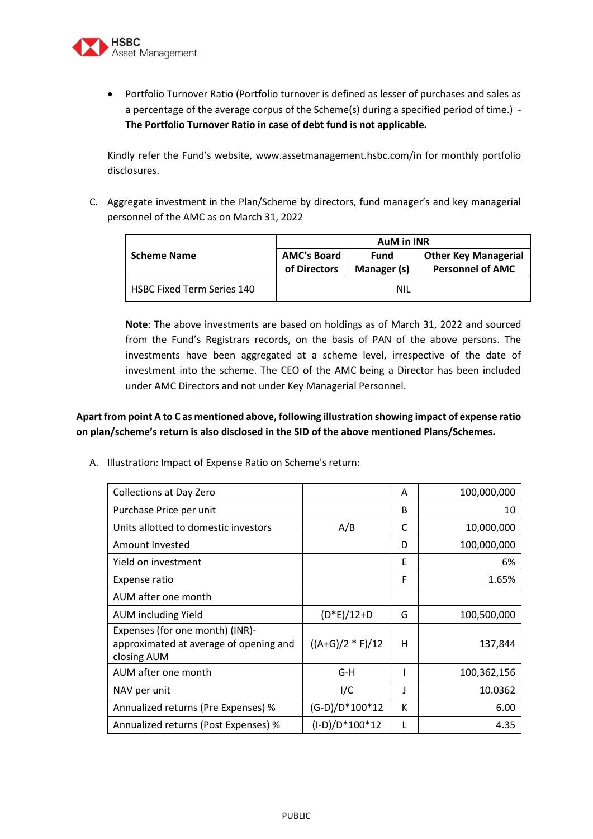

 Portfolio Turnover Ratio (Portfolio turnover is defined as lesser of purchases and sales as a percentage of the average corpus of the Scheme(s) during a specified period of time.) - **The Portfolio Turnover Ratio in case of debt fund is not applicable.**

Kindly refer the Fund's website, www.assetmanagement.hsbc.com/in for monthly portfolio disclosures.

C. Aggregate investment in the Plan/Scheme by directors, fund manager's and key managerial personnel of the AMC as on March 31, 2022

|                                   | <b>AuM in INR</b>                  |                     |                                                        |
|-----------------------------------|------------------------------------|---------------------|--------------------------------------------------------|
| <b>Scheme Name</b>                | <b>AMC's Board</b><br>of Directors | Fund<br>Manager (s) | <b>Other Key Managerial</b><br><b>Personnel of AMC</b> |
| <b>HSBC Fixed Term Series 140</b> |                                    | NIL                 |                                                        |

**Note**: The above investments are based on holdings as of March 31, 2022 and sourced from the Fund's Registrars records, on the basis of PAN of the above persons. The investments have been aggregated at a scheme level, irrespective of the date of investment into the scheme. The CEO of the AMC being a Director has been included under AMC Directors and not under Key Managerial Personnel.

# **Apart from point A to C as mentioned above, following illustration showing impact of expense ratio on plan/scheme's return is also disclosed in the SID of the above mentioned Plans/Schemes.**

A. Illustration: Impact of Expense Ratio on Scheme's return:

| <b>Collections at Day Zero</b>                                                           |                    | Α | 100,000,000 |
|------------------------------------------------------------------------------------------|--------------------|---|-------------|
| Purchase Price per unit                                                                  |                    | B | 10          |
| Units allotted to domestic investors                                                     | A/B                | C | 10,000,000  |
| Amount Invested                                                                          |                    | D | 100,000,000 |
| Yield on investment                                                                      |                    | F | 6%          |
| Expense ratio                                                                            |                    | F | 1.65%       |
| AUM after one month                                                                      |                    |   |             |
| <b>AUM including Yield</b>                                                               | $(D*E)/12+D$       | G | 100,500,000 |
| Expenses (for one month) (INR)-<br>approximated at average of opening and<br>closing AUM | $((A+G)/2 * F)/12$ | н | 137,844     |
| AUM after one month                                                                      | G-H                |   | 100,362,156 |
| NAV per unit                                                                             | I/C                |   | 10.0362     |
| Annualized returns (Pre Expenses) %                                                      | $(G-D)/D^*100^*12$ | К | 6.00        |
| Annualized returns (Post Expenses) %                                                     | (I-D)/D*100*12     | L | 4.35        |